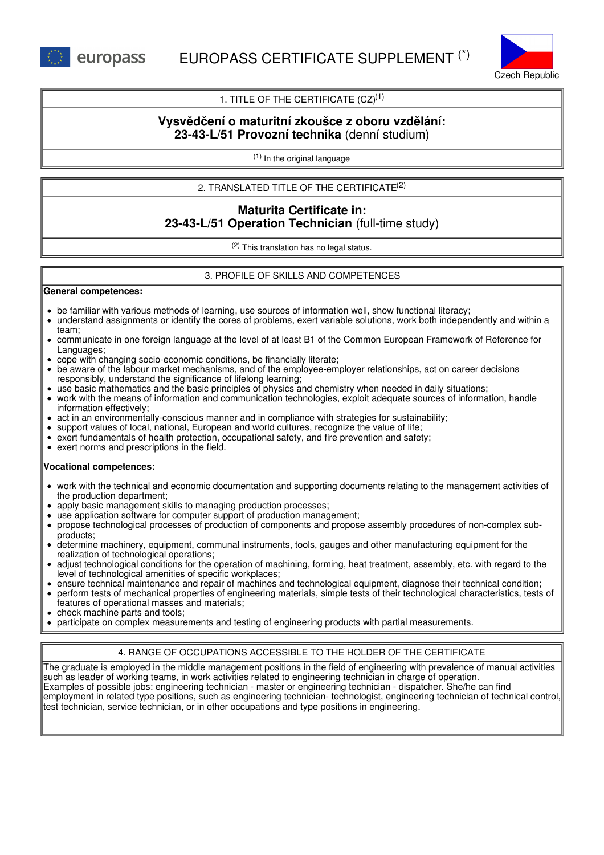

## 1. TITLE OF THE CERTIFICATE  $(CZ)^{(1)}$

## **Vysvědčení o maturitní zkoušce z oboru vzdělání: 23-43-L/51 Provozní technika** (denní studium)

(1) In the original language

2. TRANSLATED TITLE OF THE CERTIFICATE (2)

# **Maturita Certificate in: 23-43-L/51 Operation Technician** (full-time study)

(2) This translation has no legal status.

## 3. PROFILE OF SKILLS AND COMPETENCES

#### **General competences:**

- be familiar with various methods of learning, use sources of information well, show functional literacy;
- understand assignments or identify the cores of problems, exert variable solutions, work both independently and within a team;
- communicate in one foreign language at the level of at least B1 of the Common European Framework of Reference for Languages;
- cope with changing socio-economic conditions, be financially literate;
- be aware of the labour market mechanisms, and of the employee-employer relationships, act on career decisions responsibly, understand the significance of lifelong learning;
- use basic mathematics and the basic principles of physics and chemistry when needed in daily situations;
- work with the means of information and communication technologies, exploit adequate sources of information, handle information effectively;
- act in an environmentally-conscious manner and in compliance with strategies for sustainability;
- support values of local, national, European and world cultures, recognize the value of life;
- exert fundamentals of health protection, occupational safety, and fire prevention and safety;
- exert norms and prescriptions in the field.

#### **Vocational competences:**

- work with the technical and economic documentation and supporting documents relating to the management activities of the production department;
- apply basic management skills to managing production processes;
- use application software for computer support of production management;
- propose technological processes of production of components and propose assembly procedures of non-complex subproducts;
- determine machinery, equipment, communal instruments, tools, gauges and other manufacturing equipment for the realization of technological operations;
- adjust technological conditions for the operation of machining, forming, heat treatment, assembly, etc. with regard to the level of technological amenities of specific workplaces;
- ensure technical maintenance and repair of machines and technological equipment, diagnose their technical condition;
- perform tests of mechanical properties of engineering materials, simple tests of their technological characteristics, tests of features of operational masses and materials;
- check machine parts and tools;
- participate on complex measurements and testing of engineering products with partial measurements.  $\bullet$

## 4. RANGE OF OCCUPATIONS ACCESSIBLE TO THE HOLDER OF THE CERTIFICATE

The graduate is employed in the middle management positions in the field of engineering with prevalence of manual activities such as leader of working teams, in work activities related to engineering technician in charge of operation. Examples of possible jobs: engineering technician - master or engineering technician - dispatcher. She/he can find employment in related type positions, such as engineering technician- technologist, engineering technician of technical control, test technician, service technician, or in other occupations and type positions in engineering.